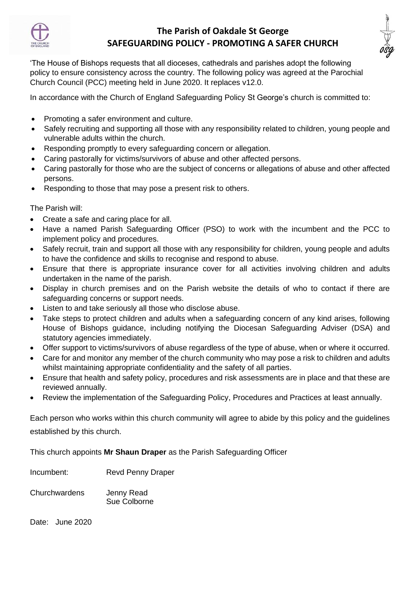

## **The Parish of Oakdale St George SAFEGUARDING POLICY - PROMOTING A SAFER CHURCH**



'The House of Bishops requests that all dioceses, cathedrals and parishes adopt the following policy to ensure consistency across the country. The following policy was agreed at the Parochial Church Council (PCC) meeting held in June 2020. It replaces v12.0.

In accordance with the Church of England Safeguarding Policy St George's church is committed to:

- Promoting a safer environment and culture.
- Safely recruiting and supporting all those with any responsibility related to children, young people and vulnerable adults within the church.
- Responding promptly to every safeguarding concern or allegation.
- Caring pastorally for victims/survivors of abuse and other affected persons.
- Caring pastorally for those who are the subject of concerns or allegations of abuse and other affected persons.
- Responding to those that may pose a present risk to others.

The Parish will:

- Create a safe and caring place for all.
- Have a named Parish Safeguarding Officer (PSO) to work with the incumbent and the PCC to implement policy and procedures.
- Safely recruit, train and support all those with any responsibility for children, young people and adults to have the confidence and skills to recognise and respond to abuse.
- Ensure that there is appropriate insurance cover for all activities involving children and adults undertaken in the name of the parish.
- Display in church premises and on the Parish website the details of who to contact if there are safeguarding concerns or support needs.
- Listen to and take seriously all those who disclose abuse.
- Take steps to protect children and adults when a safeguarding concern of any kind arises, following House of Bishops guidance, including notifying the Diocesan Safeguarding Adviser (DSA) and statutory agencies immediately.
- Offer support to victims/survivors of abuse regardless of the type of abuse, when or where it occurred.
- Care for and monitor any member of the church community who may pose a risk to children and adults whilst maintaining appropriate confidentiality and the safety of all parties.
- Ensure that health and safety policy, procedures and risk assessments are in place and that these are reviewed annually.
- Review the implementation of the Safeguarding Policy, Procedures and Practices at least annually.

Each person who works within this church community will agree to abide by this policy and the guidelines established by this church.

This church appoints **Mr Shaun Draper** as the Parish Safeguarding Officer

Incumbent: Revd Penny Draper

Churchwardens Jenny Read Sue Colborne

Date: June 2020